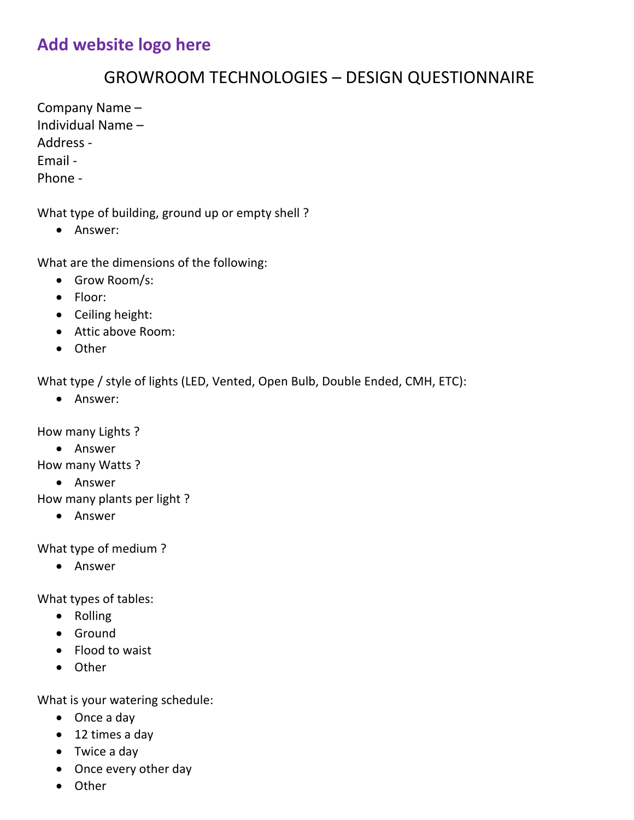# **Add website logo here**

### GROWROOM TECHNOLOGIES – DESIGN QUESTIONNAIRE

Company Name – Individual Name – Address - Email - Phone -

What type of building, ground up or empty shell ?

Answer:

What are the dimensions of the following:

- Grow Room/s:
- Floor:
- Ceiling height:
- Attic above Room:
- Other

What type / style of lights (LED, Vented, Open Bulb, Double Ended, CMH, ETC):

Answer:

How many Lights ?

Answer

How many Watts ?

Answer

How many plants per light ?

Answer

What type of medium ?

Answer

What types of tables:

- Rolling
- Ground
- Flood to waist
- Other

What is your watering schedule:

- Once a day
- 12 times a day
- Twice a day
- Once every other day
- Other